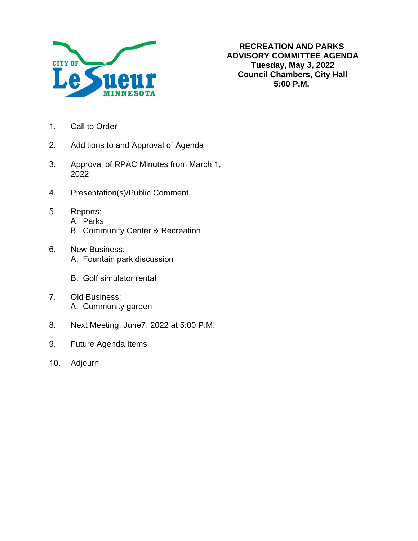

- 1. Call to Order
- 2. Additions to and Approval of Agenda
- 3. Approval of RPAC Minutes from March 1, 2022
- 4. Presentation(s)/Public Comment
- 5. Reports:
	- A. Parks
	- B. Community Center & Recreation
- 6. New Business: A. Fountain park discussion
	- B. Golf simulator rental
- 7. Old Business: A. Community garden
- 8. Next Meeting: June7, 2022 at 5:00 P.M.
- 9. Future Agenda Items
- 10. Adjourn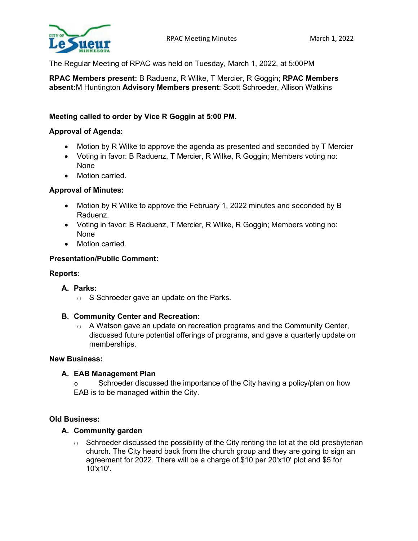

The Regular Meeting of RPAC was held on Tuesday, March 1, 2022, at 5:00PM

**RPAC Members present:** B Raduenz, R Wilke, T Mercier, R Goggin; **RPAC Members absent:**M Huntington **Advisory Members present**: Scott Schroeder, Allison Watkins

# **Meeting called to order by Vice R Goggin at 5:00 PM.**

### **Approval of Agenda:**

- Motion by R Wilke to approve the agenda as presented and seconded by T Mercier
- Voting in favor: B Raduenz, T Mercier, R Wilke, R Goggin; Members voting no: None
- Motion carried.

### **Approval of Minutes:**

- Motion by R Wilke to approve the February 1, 2022 minutes and seconded by B Raduenz.
- Voting in favor: B Raduenz, T Mercier, R Wilke, R Goggin; Members voting no: None
- Motion carried

### **Presentation/Public Comment:**

### **Reports**:

- **A. Parks:**
	- o S Schroeder gave an update on the Parks.

### **B. Community Center and Recreation:**

 $\circ$  A Watson gave an update on recreation programs and the Community Center, discussed future potential offerings of programs, and gave a quarterly update on memberships.

### **New Business:**

### **A. EAB Management Plan**

o Schroeder discussed the importance of the City having a policy/plan on how EAB is to be managed within the City.

### **Old Business:**

### **A. Community garden**

 $\circ$  Schroeder discussed the possibility of the City renting the lot at the old presbyterian church. The City heard back from the church group and they are going to sign an agreement for 2022. There will be a charge of \$10 per 20'x10' plot and \$5 for 10'x10'.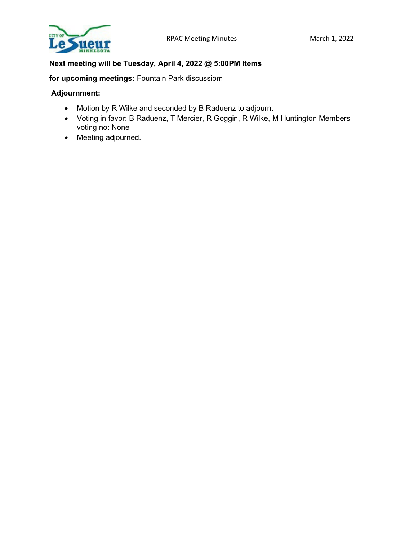

# **Next meeting will be Tuesday, April 4, 2022 @ 5:00PM Items**

**for upcoming meetings:** Fountain Park discussiom

# **Adjournment:**

- Motion by R Wilke and seconded by B Raduenz to adjourn.
- Voting in favor: B Raduenz, T Mercier, R Goggin, R Wilke, M Huntington Members voting no: None
- Meeting adjourned.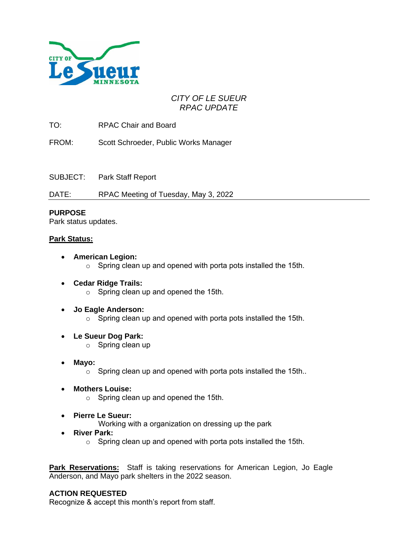

# *CITY OF LE SUEUR RPAC UPDATE*

TO: RPAC Chair and Board

FROM: Scott Schroeder, Public Works Manager

SUBJECT: Park Staff Report

DATE: RPAC Meeting of Tuesday, May 3, 2022

# **PURPOSE**

Park status updates.

# **Park Status:**

- **American Legion:** o Spring clean up and opened with porta pots installed the 15th.
- **Cedar Ridge Trails:** o Spring clean up and opened the 15th.
- **Jo Eagle Anderson:**  $\circ$  Spring clean up and opened with porta pots installed the 15th.
- **Le Sueur Dog Park:**
	- o Spring clean up
- **Mayo:**
	- $\circ$  Spring clean up and opened with porta pots installed the 15th..
- **Mothers Louise:**
	- o Spring clean up and opened the 15th.
- **Pierre Le Sueur:**
	- Working with a organization on dressing up the park
- **River Park:**
	- o Spring clean up and opened with porta pots installed the 15th.

**Park Reservations:** Staff is taking reservations for American Legion, Jo Eagle Anderson, and Mayo park shelters in the 2022 season.

# **ACTION REQUESTED**

Recognize & accept this month's report from staff.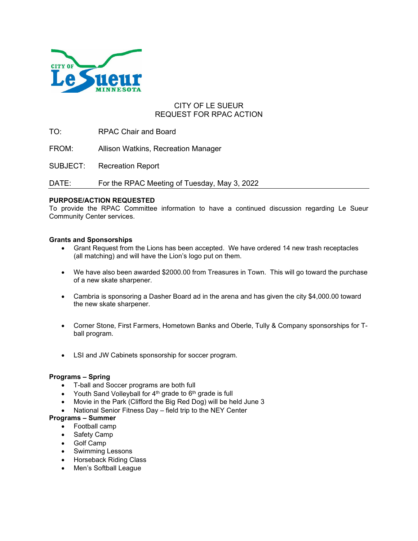

# CITY OF LE SUEUR REQUEST FOR RPAC ACTION

TO: RPAC Chair and Board

FROM: Allison Watkins, Recreation Manager

SUBJECT: Recreation Report

DATE: For the RPAC Meeting of Tuesday, May 3, 2022

#### **PURPOSE/ACTION REQUESTED**

To provide the RPAC Committee information to have a continued discussion regarding Le Sueur Community Center services.

#### **Grants and Sponsorships**

- Grant Request from the Lions has been accepted. We have ordered 14 new trash receptacles (all matching) and will have the Lion's logo put on them.
- We have also been awarded \$2000.00 from Treasures in Town. This will go toward the purchase of a new skate sharpener.
- Cambria is sponsoring a Dasher Board ad in the arena and has given the city \$4,000.00 toward the new skate sharpener.
- Corner Stone, First Farmers, Hometown Banks and Oberle, Tully & Company sponsorships for Tball program.
- LSI and JW Cabinets sponsorship for soccer program.

#### **Programs – Spring**

- T-ball and Soccer programs are both full
- Youth Sand Volleyball for 4<sup>th</sup> grade to 6<sup>th</sup> grade is full
- Movie in the Park (Clifford the Big Red Dog) will be held June 3
- National Senior Fitness Day field trip to the NEY Center

#### **Programs – Summer**

- Football camp
- Safety Camp
- Golf Camp
- Swimming Lessons
- Horseback Riding Class
- Men's Softball League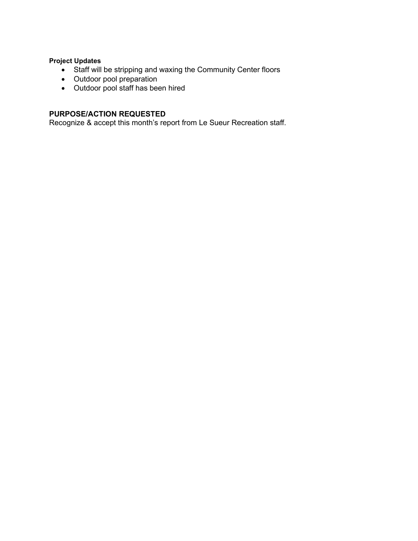# **Project Updates**

- Staff will be stripping and waxing the Community Center floors
- Outdoor pool preparation
- Outdoor pool staff has been hired

# **PURPOSE/ACTION REQUESTED**

Recognize & accept this month's report from Le Sueur Recreation staff.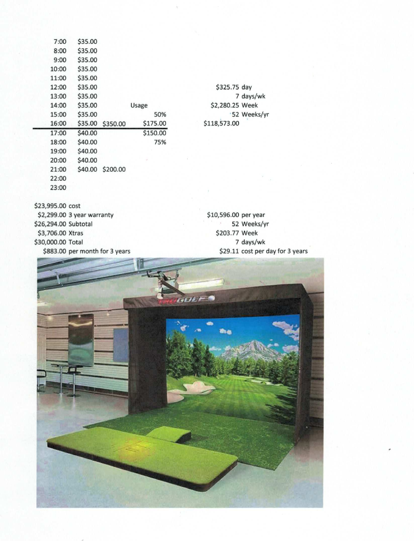| 7:00  | \$35.00 |          |          |
|-------|---------|----------|----------|
| 8:00  | \$35.00 |          |          |
| 9:00  | \$35.00 |          |          |
| 10:00 | \$35.00 |          |          |
| 11:00 | \$35.00 |          |          |
| 12:00 | \$35.00 |          |          |
| 13:00 | \$35.00 |          |          |
| 14:00 | \$35.00 |          | Usage    |
| 15:00 | \$35.00 |          | 50%      |
| 16:00 | \$35.00 | \$350.00 | \$175.00 |
| 17:00 | \$40.00 |          | \$150.00 |
| 18:00 | \$40.00 |          | 75%      |
| 19:00 | \$40.00 |          |          |
| 20:00 | \$40.00 |          |          |
| 21:00 | \$40.00 | \$200.00 |          |
| 22:00 |         |          |          |
| 23:00 |         |          |          |
|       |         |          |          |

| \$325.75 day    |              |
|-----------------|--------------|
|                 | 7 days/wk    |
| \$2,280.25 Week |              |
|                 | *52 Weeks/yr |
| \$118,573.00    |              |

\$23,995.00 cost

\$2,299.00 3 year warranty \$26,294.00 Subtotal \$3,706.00 Xtras \$30,000.00 Total \$883.00 per month for 3 years \$10,596.00 per year 52 Weeks/yr \$203.77 Week 7 days/wk \$29.11 cost per day for 3 years